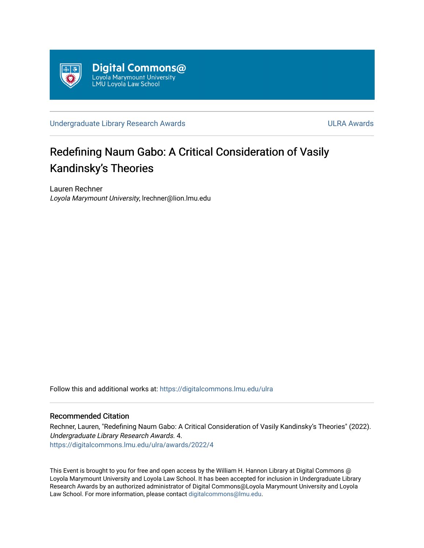

[Undergraduate Library Research Awards](https://digitalcommons.lmu.edu/ulra) **ULRA Awards** ULRA Awards

## Redefining Naum Gabo: A Critical Consideration of Vasily Kandinsky's Theories

Lauren Rechner Loyola Marymount University, lrechner@lion.lmu.edu

Follow this and additional works at: [https://digitalcommons.lmu.edu/ulra](https://digitalcommons.lmu.edu/ulra?utm_source=digitalcommons.lmu.edu%2Fulra%2Fawards%2F2022%2F4&utm_medium=PDF&utm_campaign=PDFCoverPages)

## Recommended Citation

Rechner, Lauren, "Redefining Naum Gabo: A Critical Consideration of Vasily Kandinsky's Theories" (2022). Undergraduate Library Research Awards. 4. [https://digitalcommons.lmu.edu/ulra/awards/2022/4](https://digitalcommons.lmu.edu/ulra/awards/2022/4?utm_source=digitalcommons.lmu.edu%2Fulra%2Fawards%2F2022%2F4&utm_medium=PDF&utm_campaign=PDFCoverPages)

This Event is brought to you for free and open access by the William H. Hannon Library at Digital Commons @ Loyola Marymount University and Loyola Law School. It has been accepted for inclusion in Undergraduate Library Research Awards by an authorized administrator of Digital Commons@Loyola Marymount University and Loyola Law School. For more information, please contact [digitalcommons@lmu.edu.](mailto:digitalcommons@lmu.edu)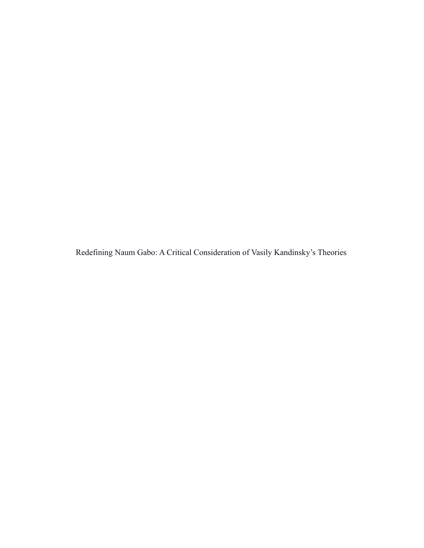Redefining Naum Gabo: A Critical Consideration of Vasily Kandinsky's Theories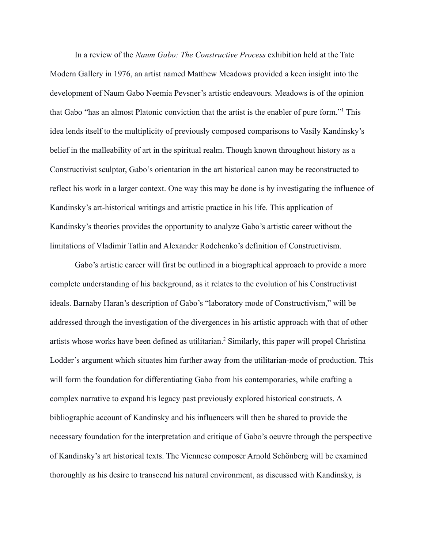In a review of the *Naum Gabo: The Constructive Process* exhibition held at the Tate Modern Gallery in 1976, an artist named Matthew Meadows provided a keen insight into the development of Naum Gabo Neemia Pevsner's artistic endeavours. Meadows is of the opinion that Gabo "has an almost Platonic conviction that the artist is the enabler of pure form."<sup>1</sup> This idea lends itself to the multiplicity of previously composed comparisons to Vasily Kandinsky's belief in the malleability of art in the spiritual realm. Though known throughout history as a Constructivist sculptor, Gabo's orientation in the art historical canon may be reconstructed to reflect his work in a larger context. One way this may be done is by investigating the influence of Kandinsky's art-historical writings and artistic practice in his life. This application of Kandinsky's theories provides the opportunity to analyze Gabo's artistic career without the limitations of Vladimir Tatlin and Alexander Rodchenko's definition of Constructivism.

Gabo's artistic career will first be outlined in a biographical approach to provide a more complete understanding of his background, as it relates to the evolution of his Constructivist ideals. Barnaby Haran's description of Gabo's "laboratory mode of Constructivism," will be addressed through the investigation of the divergences in his artistic approach with that of other artists whose works have been defined as utilitarian.<sup>2</sup> Similarly, this paper will propel Christina Lodder's argument which situates him further away from the utilitarian-mode of production. This will form the foundation for differentiating Gabo from his contemporaries, while crafting a complex narrative to expand his legacy past previously explored historical constructs. A bibliographic account of Kandinsky and his influencers will then be shared to provide the necessary foundation for the interpretation and critique of Gabo's oeuvre through the perspective of Kandinsky's art historical texts. The Viennese composer Arnold Schönberg will be examined thoroughly as his desire to transcend his natural environment, as discussed with Kandinsky, is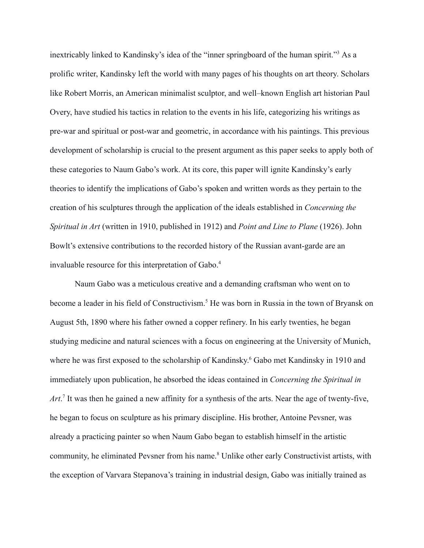inextricably linked to Kandinsky's idea of the "inner springboard of the human spirit."<sup>3</sup> As a prolific writer, Kandinsky left the world with many pages of his thoughts on art theory. Scholars like Robert Morris, an American minimalist sculptor, and well–known English art historian Paul Overy, have studied his tactics in relation to the events in his life, categorizing his writings as pre-war and spiritual or post-war and geometric, in accordance with his paintings. This previous development of scholarship is crucial to the present argument as this paper seeks to apply both of these categories to Naum Gabo's work. At its core, this paper will ignite Kandinsky's early theories to identify the implications of Gabo's spoken and written words as they pertain to the creation of his sculptures through the application of the ideals established in *Concerning the Spiritual in Art* (written in 1910, published in 1912) and *Point and Line to Plane* (1926). John Bowlt's extensive contributions to the recorded history of the Russian avant-garde are an invaluable resource for this interpretation of Gabo.<sup>4</sup>

Naum Gabo was a meticulous creative and a demanding craftsman who went on to become a leader in his field of Constructivism.<sup>5</sup> He was born in Russia in the town of Bryansk on August 5th, 1890 where his father owned a copper refinery. In his early twenties, he began studying medicine and natural sciences with a focus on engineering at the University of Munich, where he was first exposed to the scholarship of Kandinsky. <sup>6</sup> Gabo met Kandinsky in 1910 and immediately upon publication, he absorbed the ideas contained in *Concerning the Spiritual in* Art.<sup>7</sup> It was then he gained a new affinity for a synthesis of the arts. Near the age of twenty-five, he began to focus on sculpture as his primary discipline. His brother, Antoine Pevsner, was already a practicing painter so when Naum Gabo began to establish himself in the artistic community, he eliminated Pevsner from his name.<sup>8</sup> Unlike other early Constructivist artists, with the exception of Varvara Stepanova's training in industrial design, Gabo was initially trained as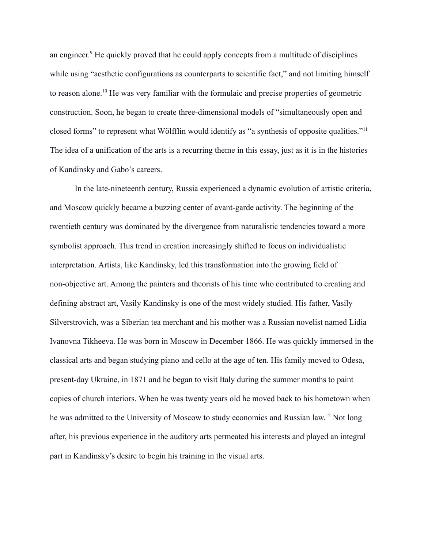an engineer. <sup>9</sup> He quickly proved that he could apply concepts from a multitude of disciplines while using "aesthetic configurations as counterparts to scientific fact," and not limiting himself to reason alone.<sup>10</sup> He was very familiar with the formulaic and precise properties of geometric construction. Soon, he began to create three-dimensional models of "simultaneously open and closed forms" to represent what Wölfflin would identify as "a synthesis of opposite qualities."<sup>11</sup> The idea of a unification of the arts is a recurring theme in this essay, just as it is in the histories of Kandinsky and Gabo's careers.

In the late-nineteenth century, Russia experienced a dynamic evolution of artistic criteria, and Moscow quickly became a buzzing center of avant-garde activity. The beginning of the twentieth century was dominated by the divergence from naturalistic tendencies toward a more symbolist approach. This trend in creation increasingly shifted to focus on individualistic interpretation. Artists, like Kandinsky, led this transformation into the growing field of non-objective art. Among the painters and theorists of his time who contributed to creating and defining abstract art, Vasily Kandinsky is one of the most widely studied. His father, Vasily Silverstrovich, was a Siberian tea merchant and his mother was a Russian novelist named Lidia Ivanovna Tikheeva. He was born in Moscow in December 1866. He was quickly immersed in the classical arts and began studying piano and cello at the age of ten. His family moved to Odesa, present-day Ukraine, in 1871 and he began to visit Italy during the summer months to paint copies of church interiors. When he was twenty years old he moved back to his hometown when he was admitted to the University of Moscow to study economics and Russian law.<sup>12</sup> Not long after, his previous experience in the auditory arts permeated his interests and played an integral part in Kandinsky's desire to begin his training in the visual arts.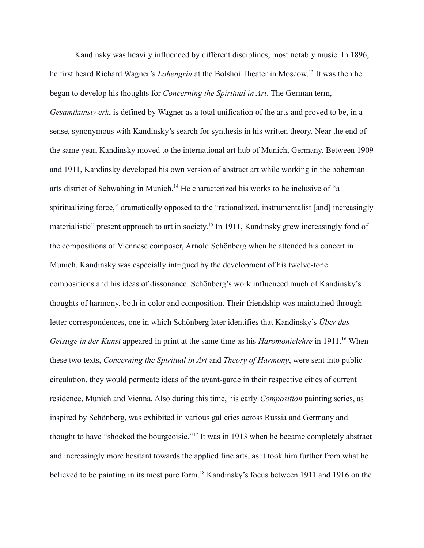Kandinsky was heavily influenced by different disciplines, most notably music. In 1896, he first heard Richard Wagner's *Lohengrin* at the Bolshoi Theater in Moscow. 13 It was then he began to develop his thoughts for *Concerning the Spiritual in Art*. The German term, *Gesamtkunstwerk*, is defined by Wagner as a total unification of the arts and proved to be, in a sense, synonymous with Kandinsky's search for synthesis in his written theory. Near the end of the same year, Kandinsky moved to the international art hub of Munich, Germany. Between 1909 and 1911, Kandinsky developed his own version of abstract art while working in the bohemian arts district of Schwabing in Munich.<sup>14</sup> He characterized his works to be inclusive of "a spiritualizing force," dramatically opposed to the "rationalized, instrumentalist [and] increasingly materialistic" present approach to art in society.<sup>15</sup> In 1911, Kandinsky grew increasingly fond of the compositions of Viennese composer, Arnold Schönberg when he attended his concert in Munich. Kandinsky was especially intrigued by the development of his twelve-tone compositions and his ideas of dissonance. Schönberg's work influenced much of Kandinsky's thoughts of harmony, both in color and composition. Their friendship was maintained through letter correspondences, one in which Schönberg later identifies that Kandinsky's *Über das Geistige in der Kunst* appeared in print at the same time as his *Haromonielehre* in 1911.<sup>16</sup> When these two texts, *Concerning the Spiritual in Art* and *Theory of Harmony*, were sent into public circulation, they would permeate ideas of the avant-garde in their respective cities of current residence, Munich and Vienna. Also during this time, his early *Composition* painting series, as inspired by Schönberg, was exhibited in various galleries across Russia and Germany and thought to have "shocked the bourgeoisie."<sup>17</sup> It was in 1913 when he became completely abstract and increasingly more hesitant towards the applied fine arts, as it took him further from what he believed to be painting in its most pure form.<sup>18</sup> Kandinsky's focus between 1911 and 1916 on the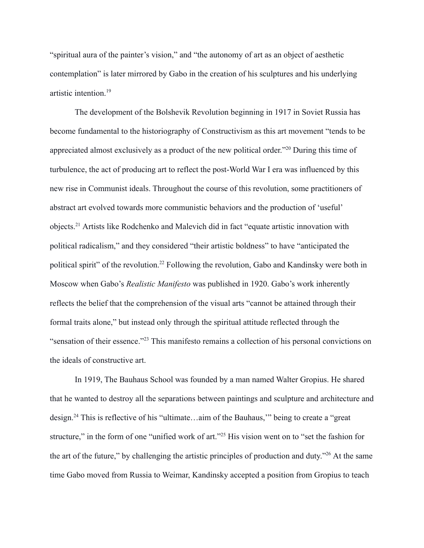"spiritual aura of the painter's vision," and "the autonomy of art as an object of aesthetic contemplation" is later mirrored by Gabo in the creation of his sculptures and his underlying artistic intention.<sup>19</sup>

The development of the Bolshevik Revolution beginning in 1917 in Soviet Russia has become fundamental to the historiography of Constructivism as this art movement "tends to be appreciated almost exclusively as a product of the new political order."<sup>20</sup> During this time of turbulence, the act of producing art to reflect the post-World War I era was influenced by this new rise in Communist ideals. Throughout the course of this revolution, some practitioners of abstract art evolved towards more communistic behaviors and the production of 'useful' objects.<sup>21</sup> Artists like Rodchenko and Malevich did in fact "equate artistic innovation with political radicalism," and they considered "their artistic boldness" to have "anticipated the political spirit" of the revolution.<sup>22</sup> Following the revolution, Gabo and Kandinsky were both in Moscow when Gabo's *Realistic Manifesto* was published in 1920. Gabo's work inherently reflects the belief that the comprehension of the visual arts "cannot be attained through their formal traits alone," but instead only through the spiritual attitude reflected through the "sensation of their essence."<sup>23</sup> This manifesto remains a collection of his personal convictions on the ideals of constructive art.

In 1919, The Bauhaus School was founded by a man named Walter Gropius. He shared that he wanted to destroy all the separations between paintings and sculpture and architecture and design.<sup>24</sup> This is reflective of his "ultimate…aim of the Bauhaus,'" being to create a "great structure," in the form of one "unified work of art."<sup>25</sup> His vision went on to "set the fashion for the art of the future," by challenging the artistic principles of production and duty."<sup>26</sup> At the same time Gabo moved from Russia to Weimar, Kandinsky accepted a position from Gropius to teach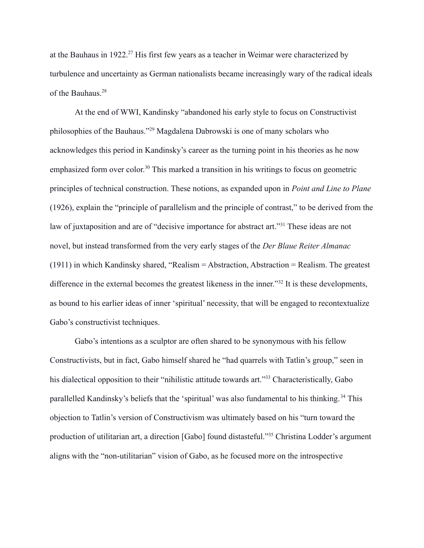at the Bauhaus in 1922.<sup>27</sup> His first few years as a teacher in Weimar were characterized by turbulence and uncertainty as German nationalists became increasingly wary of the radical ideals of the Bauhaus.<sup>28</sup>

At the end of WWI, Kandinsky "abandoned his early style to focus on Constructivist philosophies of the Bauhaus."<sup>29</sup> Magdalena Dabrowski is one of many scholars who acknowledges this period in Kandinsky's career as the turning point in his theories as he now emphasized form over color.<sup>30</sup> This marked a transition in his writings to focus on geometric principles of technical construction. These notions, as expanded upon in *Point and Line to Plane* (1926), explain the "principle of parallelism and the principle of contrast," to be derived from the law of juxtaposition and are of "decisive importance for abstract art."<sup>31</sup> These ideas are not novel, but instead transformed from the very early stages of the *Der Blaue Reiter Almanac* (1911) in which Kandinsky shared, "Realism = Abstraction, Abstraction = Realism. The greatest difference in the external becomes the greatest likeness in the inner."<sup>32</sup> It is these developments, as bound to his earlier ideas of inner 'spiritual' necessity, that will be engaged to recontextualize Gabo's constructivist techniques.

Gabo's intentions as a sculptor are often shared to be synonymous with his fellow Constructivists, but in fact, Gabo himself shared he "had quarrels with Tatlin's group," seen in his dialectical opposition to their "nihilistic attitude towards art."<sup>33</sup> Characteristically, Gabo parallelled Kandinsky's beliefs that the 'spiritual' was also fundamental to his thinking. <sup>34</sup> This objection to Tatlin's version of Constructivism was ultimately based on his "turn toward the production of utilitarian art, a direction [Gabo] found distasteful."<sup>35</sup> Christina Lodder's argument aligns with the "non-utilitarian" vision of Gabo, as he focused more on the introspective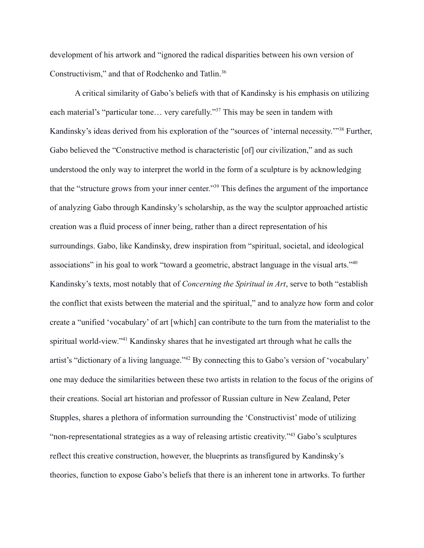development of his artwork and "ignored the radical disparities between his own version of Constructivism," and that of Rodchenko and Tatlin.<sup>36</sup>

A critical similarity of Gabo's beliefs with that of Kandinsky is his emphasis on utilizing each material's "particular tone… very carefully."<sup>37</sup> This may be seen in tandem with Kandinsky's ideas derived from his exploration of the "sources of 'internal necessity.'"<sup>38</sup> Further, Gabo believed the "Constructive method is characteristic [of] our civilization," and as such understood the only way to interpret the world in the form of a sculpture is by acknowledging that the "structure grows from your inner center."<sup>39</sup> This defines the argument of the importance of analyzing Gabo through Kandinsky's scholarship, as the way the sculptor approached artistic creation was a fluid process of inner being, rather than a direct representation of his surroundings. Gabo, like Kandinsky, drew inspiration from "spiritual, societal, and ideological associations" in his goal to work "toward a geometric, abstract language in the visual arts."<sup>40</sup> Kandinsky's texts, most notably that of *Concerning the Spiritual in Art*, serve to both "establish the conflict that exists between the material and the spiritual," and to analyze how form and color create a "unified 'vocabulary' of art [which] can contribute to the turn from the materialist to the spiritual world-view."<sup>41</sup> Kandinsky shares that he investigated art through what he calls the artist's "dictionary of a living language."<sup>42</sup> By connecting this to Gabo's version of 'vocabulary' one may deduce the similarities between these two artists in relation to the focus of the origins of their creations. Social art historian and professor of Russian culture in New Zealand, Peter Stupples, shares a plethora of information surrounding the 'Constructivist' mode of utilizing "non-representational strategies as a way of releasing artistic creativity."<sup>43</sup> Gabo's sculptures reflect this creative construction, however, the blueprints as transfigured by Kandinsky's theories, function to expose Gabo's beliefs that there is an inherent tone in artworks. To further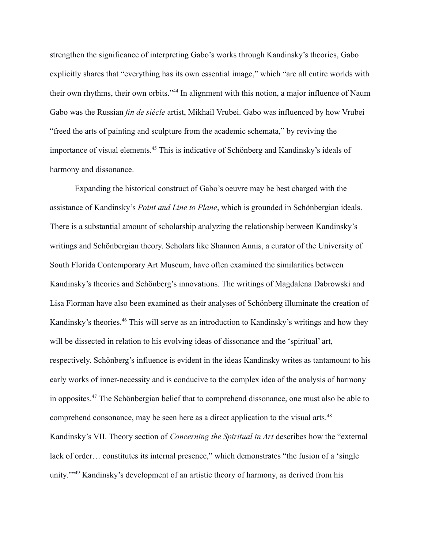strengthen the significance of interpreting Gabo's works through Kandinsky's theories, Gabo explicitly shares that "everything has its own essential image," which "are all entire worlds with their own rhythms, their own orbits."<sup>44</sup> In alignment with this notion, a major influence of Naum Gabo was the Russian *fin de siècle* artist, Mikhail Vrubei. Gabo was influenced by how Vrubei "freed the arts of painting and sculpture from the academic schemata," by reviving the importance of visual elements.<sup>45</sup> This is indicative of Schönberg and Kandinsky's ideals of harmony and dissonance.

Expanding the historical construct of Gabo's oeuvre may be best charged with the assistance of Kandinsky's *Point and Line to Plane*, which is grounded in Schönbergian ideals. There is a substantial amount of scholarship analyzing the relationship between Kandinsky's writings and Schönbergian theory. Scholars like Shannon Annis, a curator of the University of South Florida Contemporary Art Museum, have often examined the similarities between Kandinsky's theories and Schönberg's innovations. The writings of Magdalena Dabrowski and Lisa Florman have also been examined as their analyses of Schönberg illuminate the creation of Kandinsky's theories.<sup>46</sup> This will serve as an introduction to Kandinsky's writings and how they will be dissected in relation to his evolving ideas of dissonance and the 'spiritual' art, respectively. Schönberg's influence is evident in the ideas Kandinsky writes as tantamount to his early works of inner-necessity and is conducive to the complex idea of the analysis of harmony in opposites.<sup>47</sup> The Schönbergian belief that to comprehend dissonance, one must also be able to comprehend consonance, may be seen here as a direct application to the visual arts.<sup>48</sup> Kandinsky's VII. Theory section of *Concerning the Spiritual in Art* describes how the "external lack of order... constitutes its internal presence," which demonstrates "the fusion of a 'single unity.<sup>"49</sup> Kandinsky's development of an artistic theory of harmony, as derived from his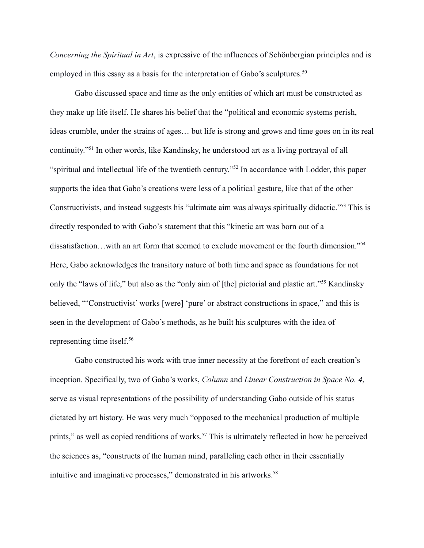*Concerning the Spiritual in Art*, is expressive of the influences of Schönbergian principles and is employed in this essay as a basis for the interpretation of Gabo's sculptures.<sup>50</sup>

Gabo discussed space and time as the only entities of which art must be constructed as they make up life itself. He shares his belief that the "political and economic systems perish, ideas crumble, under the strains of ages… but life is strong and grows and time goes on in its real continuity."<sup>51</sup> In other words, like Kandinsky, he understood art as a living portrayal of all "spiritual and intellectual life of the twentieth century."<sup>52</sup> In accordance with Lodder, this paper supports the idea that Gabo's creations were less of a political gesture, like that of the other Constructivists, and instead suggests his "ultimate aim was always spiritually didactic."<sup>53</sup> This is directly responded to with Gabo's statement that this "kinetic art was born out of a dissatisfaction…with an art form that seemed to exclude movement or the fourth dimension."<sup>54</sup> Here, Gabo acknowledges the transitory nature of both time and space as foundations for not only the "laws of life," but also as the "only aim of [the] pictorial and plastic art."<sup>55</sup> Kandinsky believed, "'Constructivist' works [were] 'pure' or abstract constructions in space," and this is seen in the development of Gabo's methods, as he built his sculptures with the idea of representing time itself.<sup>56</sup>

Gabo constructed his work with true inner necessity at the forefront of each creation's inception. Specifically, two of Gabo's works, *Column* and *Linear Construction in Space No. 4*, serve as visual representations of the possibility of understanding Gabo outside of his status dictated by art history. He was very much "opposed to the mechanical production of multiple prints," as well as copied renditions of works.<sup>57</sup> This is ultimately reflected in how he perceived the sciences as, "constructs of the human mind, paralleling each other in their essentially intuitive and imaginative processes," demonstrated in his artworks.<sup>58</sup>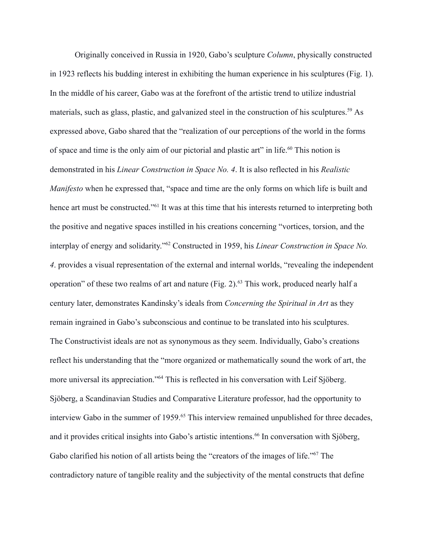Originally conceived in Russia in 1920, Gabo's sculpture *Column*, physically constructed in 1923 reflects his budding interest in exhibiting the human experience in his sculptures (Fig. 1). In the middle of his career, Gabo was at the forefront of the artistic trend to utilize industrial materials, such as glass, plastic, and galvanized steel in the construction of his sculptures.<sup>59</sup> As expressed above, Gabo shared that the "realization of our perceptions of the world in the forms of space and time is the only aim of our pictorial and plastic art" in life.<sup>60</sup> This notion is demonstrated in his *Linear Construction in Space No. 4*. It is also reflected in his *Realistic Manifesto* when he expressed that, "space and time are the only forms on which life is built and hence art must be constructed."<sup>61</sup> It was at this time that his interests returned to interpreting both the positive and negative spaces instilled in his creations concerning "vortices, torsion, and the interplay of energy and solidarity."<sup>62</sup> Constructed in 1959, his *Linear Construction in Space No. 4*. provides a visual representation of the external and internal worlds, "revealing the independent operation" of these two realms of art and nature (Fig. 2).<sup>63</sup> This work, produced nearly half a century later, demonstrates Kandinsky's ideals from *Concerning the Spiritual in Art* as they remain ingrained in Gabo's subconscious and continue to be translated into his sculptures. The Constructivist ideals are not as synonymous as they seem. Individually, Gabo's creations reflect his understanding that the "more organized or mathematically sound the work of art, the more universal its appreciation."<sup>64</sup> This is reflected in his conversation with Leif Sjöberg. Sjöberg, a Scandinavian Studies and Comparative Literature professor, had the opportunity to interview Gabo in the summer of 1959.<sup>65</sup> This interview remained unpublished for three decades, and it provides critical insights into Gabo's artistic intentions.<sup>66</sup> In conversation with Sjöberg, Gabo clarified his notion of all artists being the "creators of the images of life."<sup>67</sup> The contradictory nature of tangible reality and the subjectivity of the mental constructs that define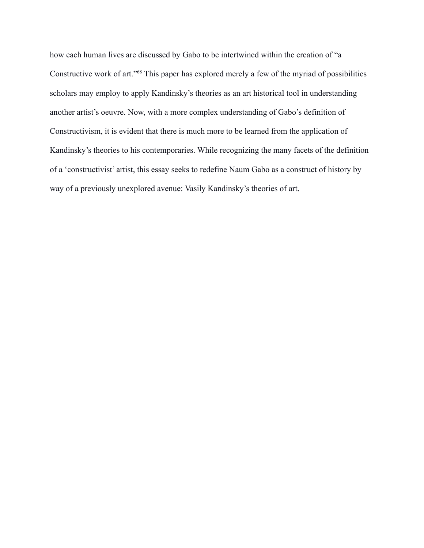how each human lives are discussed by Gabo to be intertwined within the creation of "a Constructive work of art."<sup>68</sup> This paper has explored merely a few of the myriad of possibilities scholars may employ to apply Kandinsky's theories as an art historical tool in understanding another artist's oeuvre. Now, with a more complex understanding of Gabo's definition of Constructivism, it is evident that there is much more to be learned from the application of Kandinsky's theories to his contemporaries. While recognizing the many facets of the definition of a 'constructivist' artist, this essay seeks to redefine Naum Gabo as a construct of history by way of a previously unexplored avenue: Vasily Kandinsky's theories of art.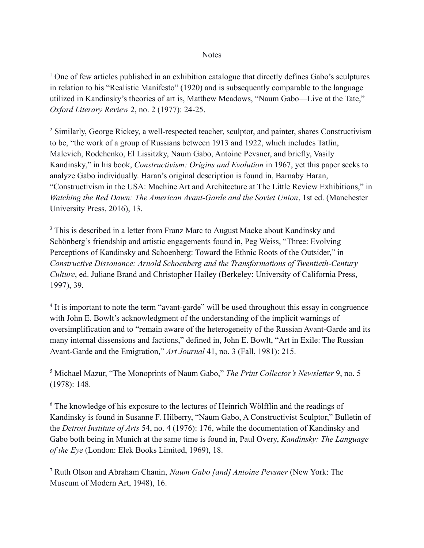## **Notes**

 $1$  One of few articles published in an exhibition catalogue that directly defines Gabo's sculptures in relation to his "Realistic Manifesto" (1920) and is subsequently comparable to the language utilized in Kandinsky's theories of art is, Matthew Meadows, "Naum Gabo—Live at the Tate," *Oxford Literary Review* 2, no. 2 (1977): 24-25.

<sup>2</sup> Similarly, George Rickey, a well-respected teacher, sculptor, and painter, shares Constructivism to be, "the work of a group of Russians between 1913 and 1922, which includes Tatlin, Malevich, Rodchenko, El Lissitzky, Naum Gabo, Antoine Pevsner, and briefly, Vasily Kandinsky," in his book, *Constructivism: Origins and Evolution* in 1967, yet this paper seeks to analyze Gabo individually. Haran's original description is found in, Barnaby Haran, "Constructivism in the USA: Machine Art and Architecture at The Little Review Exhibitions," in *Watching the Red Dawn: The American Avant-Garde and the Soviet Union*, 1st ed. (Manchester University Press, 2016), 13.

<sup>3</sup> This is described in a letter from Franz Marc to August Macke about Kandinsky and Schönberg's friendship and artistic engagements found in, Peg Weiss, "Three: Evolving Perceptions of Kandinsky and Schoenberg: Toward the Ethnic Roots of the Outsider," in *Constructive Dissonance: Arnold Schoenberg and the Transformations of Twentieth-Century Culture*, ed. Juliane Brand and Christopher Hailey (Berkeley: University of California Press, 1997), 39.

<sup>4</sup> It is important to note the term "avant-garde" will be used throughout this essay in congruence with John E. Bowlt's acknowledgment of the understanding of the implicit warnings of oversimplification and to "remain aware of the heterogeneity of the Russian Avant-Garde and its many internal dissensions and factions," defined in, John E. Bowlt, "Art in Exile: The Russian Avant-Garde and the Emigration," *Art Journal* 41, no. 3 (Fall, 1981): 215.

<sup>5</sup> Michael Mazur, "The Monoprints of Naum Gabo," *The Print Collector's Newsletter* 9, no. 5 (1978): 148.

<sup>6</sup> The knowledge of his exposure to the lectures of Heinrich Wölfflin and the readings of Kandinsky is found in Susanne F. Hilberry, "Naum Gabo, A Constructivist Sculptor," Bulletin of the *Detroit Institute of Arts* 54, no. 4 (1976): 176, while the documentation of Kandinsky and Gabo both being in Munich at the same time is found in, Paul Overy, *Kandinsky: The Language of the Eye* (London: Elek Books Limited, 1969), 18.

<sup>7</sup> Ruth Olson and Abraham Chanin, *Naum Gabo [and] Antoine Pevsner* (New York: The Museum of Modern Art, 1948), 16.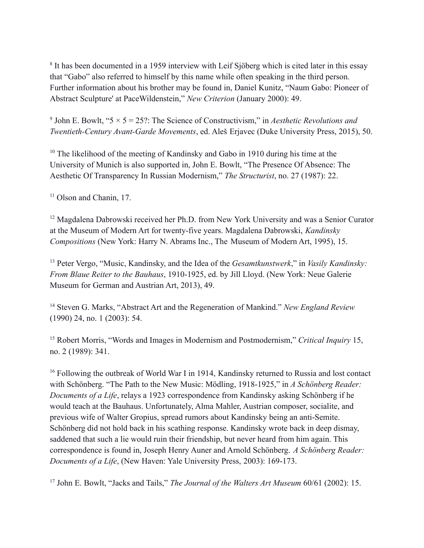<sup>8</sup> It has been documented in a 1959 interview with Leif Sjöberg which is cited later in this essay that "Gabo" also referred to himself by this name while often speaking in the third person. Further information about his brother may be found in, Daniel Kunitz, "Naum Gabo: Pioneer of Abstract Sculpture' at PaceWildenstein," *New Criterion* (January 2000): 49.

<sup>9</sup> John E. Bowlt, " $5 \times 5 = 25$ ?: The Science of Constructivism," in *Aesthetic Revolutions and Twentieth-Century Avant-Garde Movements*, ed. Aleš Erjavec (Duke University Press, 2015), 50.

<sup>10</sup> The likelihood of the meeting of Kandinsky and Gabo in 1910 during his time at the University of Munich is also supported in, John E. Bowlt, "The Presence Of Absence: The Aesthetic Of Transparency In Russian Modernism," *The Structurist*, no. 27 (1987): 22.

<sup>11</sup> Olson and Chanin, 17.

<sup>12</sup> Magdalena Dabrowski received her Ph.D. from New York University and was a Senior Curator at the Museum of Modern Art for twenty-five years. Magdalena Dabrowski, *Kandinsky Compositions* (New York: Harry N. Abrams Inc., The Museum of Modern Art, 1995), 15.

<sup>13</sup> Peter Vergo, "Music, Kandinsky, and the Idea of the *Gesamtkunstwerk*," in *Vasily Kandinsky: From Blaue Reiter to the Bauhaus*, 1910-1925, ed. by Jill Lloyd. (New York: Neue Galerie Museum for German and Austrian Art, 2013), 49.

<sup>14</sup> Steven G. Marks, "Abstract Art and the Regeneration of Mankind." *New England Review* (1990) 24, no. 1 (2003): 54.

<sup>15</sup> Robert Morris, "Words and Images in Modernism and Postmodernism," *Critical Inquiry* 15, no. 2 (1989): 341.

<sup>16</sup> Following the outbreak of World War I in 1914, Kandinsky returned to Russia and lost contact with Schönberg. "The Path to the New Music: Mödling, 1918-1925," in *A Schönberg Reader: Documents of a Life*, relays a 1923 correspondence from Kandinsky asking Schönberg if he would teach at the Bauhaus. Unfortunately, Alma Mahler, Austrian composer, socialite, and previous wife of Walter Gropius, spread rumors about Kandinsky being an anti-Semite. Schönberg did not hold back in his scathing response. Kandinsky wrote back in deep dismay, saddened that such a lie would ruin their friendship, but never heard from him again. This correspondence is found in, Joseph Henry Auner and Arnold Schönberg. *A Schönberg Reader: Documents of a Life*, (New Haven: Yale University Press, 2003): 169-173.

<sup>17</sup> John E. Bowlt, "Jacks and Tails," *The Journal of the Walters Art Museum* 60/61 (2002): 15.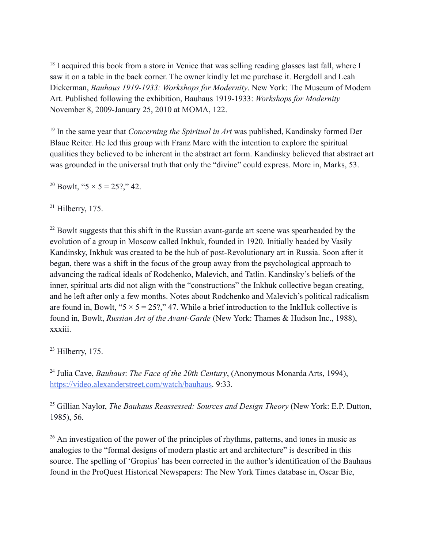<sup>18</sup> I acquired this book from a store in Venice that was selling reading glasses last fall, where I saw it on a table in the back corner. The owner kindly let me purchase it. Bergdoll and Leah Dickerman, *Bauhaus 1919-1933: Workshops for Modernity*. New York: The Museum of Modern Art. Published following the exhibition, Bauhaus 1919-1933: *Workshops for Modernity* November 8, 2009-January 25, 2010 at MOMA, 122.

<sup>19</sup> In the same year that *Concerning the Spiritual in Art* was published, Kandinsky formed Der Blaue Reiter. He led this group with Franz Marc with the intention to explore the spiritual qualities they believed to be inherent in the abstract art form. Kandinsky believed that abstract art was grounded in the universal truth that only the "divine" could express. More in, Marks, 53.

<sup>20</sup> Bowlt, " $5 \times 5 = 25$ ?," 42.

 $21$  Hilberry, 175.

 $22$  Bowlt suggests that this shift in the Russian avant-garde art scene was spearheaded by the evolution of a group in Moscow called Inkhuk, founded in 1920. Initially headed by Vasily Kandinsky, Inkhuk was created to be the hub of post-Revolutionary art in Russia. Soon after it began, there was a shift in the focus of the group away from the psychological approach to advancing the radical ideals of Rodchenko, Malevich, and Tatlin. Kandinsky's beliefs of the inner, spiritual arts did not align with the "constructions" the Inkhuk collective began creating, and he left after only a few months. Notes about Rodchenko and Malevich's political radicalism are found in, Bowlt, " $5 \times 5 = 25$ ?," 47. While a brief introduction to the InkHuk collective is found in, Bowlt, *Russian Art of the Avant-Garde* (New York: Thames & Hudson Inc., 1988), xxxiii.

 $23$  Hilberry, 175.

<sup>24</sup> Julia Cave, *Bauhaus*: *The Face of the 20th Century*, (Anonymous Monarda Arts, 1994), [https://video.alexanderstreet.com/watch/bauhaus.](https://video.alexanderstreet.com/watch/bauhaus) 9:33.

<sup>25</sup> Gillian Naylor, *The Bauhaus Reassessed: Sources and Design Theory* (New York: E.P. Dutton, 1985), 56.

<sup>26</sup> An investigation of the power of the principles of rhythms, patterns, and tones in music as analogies to the "formal designs of modern plastic art and architecture" is described in this source. The spelling of 'Gropius' has been corrected in the author's identification of the Bauhaus found in the ProQuest Historical Newspapers: The New York Times database in, Oscar Bie,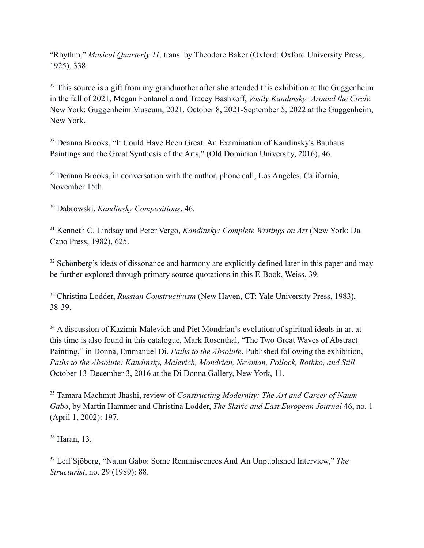"Rhythm," *Musical Quarterly 11*, trans. by Theodore Baker (Oxford: Oxford University Press, 1925), 338.

 $27$  This source is a gift from my grandmother after she attended this exhibition at the Guggenheim in the fall of 2021, Megan Fontanella and Tracey Bashkoff, *Vasily Kandinsky: Around the Circle.* New York: Guggenheim Museum, 2021. October 8, 2021-September 5, 2022 at the Guggenheim, New York.

<sup>28</sup> Deanna Brooks, "It Could Have Been Great: An Examination of Kandinsky's Bauhaus Paintings and the Great Synthesis of the Arts," (Old Dominion University, 2016), 46.

<sup>29</sup> Deanna Brooks, in conversation with the author, phone call, Los Angeles, California, November 15th.

<sup>30</sup> Dabrowski, *Kandinsky Compositions*, 46.

<sup>31</sup> Kenneth C. Lindsay and Peter Vergo, *Kandinsky: Complete Writings on Art* (New York: Da Capo Press, 1982), 625.

<sup>32</sup> Schönberg's ideas of dissonance and harmony are explicitly defined later in this paper and may be further explored through primary source quotations in this E-Book, Weiss, 39.

<sup>33</sup> Christina Lodder, *Russian Constructivism* (New Haven, CT: Yale University Press, 1983), 38-39.

<sup>34</sup> A discussion of Kazimir Malevich and Piet Mondrian's evolution of spiritual ideals in art at this time is also found in this catalogue, Mark Rosenthal, "The Two Great Waves of Abstract Painting," in Donna, Emmanuel Di. *Paths to the Absolute*. Published following the exhibition, *Paths to the Absolute: Kandinsky, Malevich, Mondrian, Newman, Pollock, Rothko, and Still* October 13-December 3, 2016 at the Di Donna Gallery, New York, 11.

<sup>35</sup> Tamara Machmut-Jhashi, review of *Constructing Modernity: The Art and Career of Naum Gabo*, by Martin Hammer and Christina Lodder, *The Slavic and East European Journal* 46, no. 1 (April 1, 2002): 197.

<sup>36</sup> Haran, 13.

<sup>37</sup> Leif Sjöberg, "Naum Gabo: Some Reminiscences And An Unpublished Interview," *The Structurist*, no. 29 (1989): 88.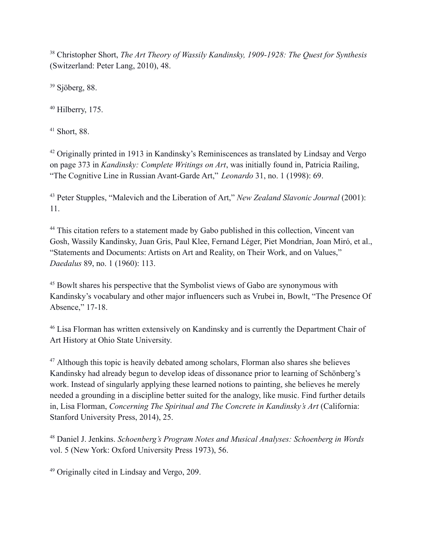<sup>38</sup> Christopher Short, *The Art Theory of Wassily Kandinsky, 1909-1928: The Quest for Synthesis* (Switzerland: Peter Lang, 2010), 48.

<sup>39</sup> Sjöberg, 88.

 $40$  Hilberry, 175.

<sup>41</sup> Short, 88.

<sup>42</sup> Originally printed in 1913 in Kandinsky's Reminiscences as translated by Lindsay and Vergo on page 373 in *Kandinsky: Complete Writings on Art*, was initially found in, Patricia Railing, "The Cognitive Line in Russian Avant-Garde Art," *Leonardo* 31, no. 1 (1998): 69.

<sup>43</sup> Peter Stupples, "Malevich and the Liberation of Art," *New Zealand Slavonic Journal* (2001): 11.

<sup>44</sup> This citation refers to a statement made by Gabo published in this collection, Vincent van Gosh, Wassily Kandinsky, Juan Gris, Paul Klee, Fernand Léger, Piet Mondrian, Joan Miró, et al., "Statements and Documents: Artists on Art and Reality, on Their Work, and on Values," *Daedalus* 89, no. 1 (1960): 113.

<sup>45</sup> Bowlt shares his perspective that the Symbolist views of Gabo are synonymous with Kandinsky's vocabulary and other major influencers such as Vrubei in, Bowlt, "The Presence Of Absence," 17-18.

<sup>46</sup> Lisa Florman has written extensively on Kandinsky and is currently the Department Chair of Art History at Ohio State University.

<sup>47</sup> Although this topic is heavily debated among scholars, Florman also shares she believes Kandinsky had already begun to develop ideas of dissonance prior to learning of Schönberg's work. Instead of singularly applying these learned notions to painting, she believes he merely needed a grounding in a discipline better suited for the analogy, like music. Find further details in, Lisa Florman, *Concerning The Spiritual and The Concrete in Kandinsky's Art* (California: Stanford University Press, 2014), 25.

<sup>48</sup> Daniel J. Jenkins. *Schoenberg's Program Notes and Musical Analyses: Schoenberg in Words* vol. 5 (New York: Oxford University Press 1973), 56.

<sup>49</sup> Originally cited in Lindsay and Vergo, 209.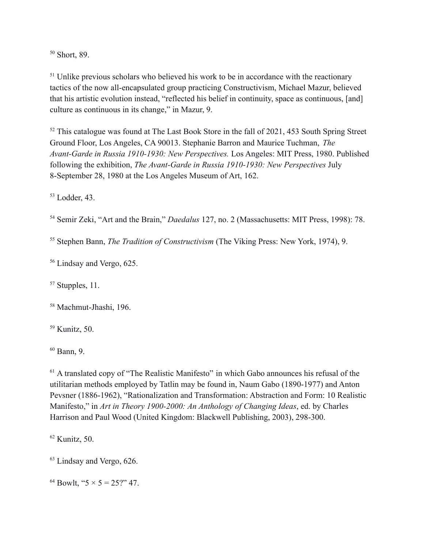<sup>50</sup> Short, 89.

 $<sup>51</sup>$  Unlike previous scholars who believed his work to be in accordance with the reactionary</sup> tactics of the now all-encapsulated group practicing Constructivism, Michael Mazur, believed that his artistic evolution instead, "reflected his belief in continuity, space as continuous, [and] culture as continuous in its change," in Mazur, 9.

<sup>52</sup> This catalogue was found at The Last Book Store in the fall of 2021, 453 South Spring Street Ground Floor, Los Angeles, CA 90013. Stephanie Barron and Maurice Tuchman, *The Avant-Garde in Russia 1910-1930: New Perspectives.* Los Angeles: MIT Press, 1980. Published following the exhibition, *The Avant-Garde in Russia 1910-1930: New Perspectives* July 8-September 28, 1980 at the Los Angeles Museum of Art, 162.

<sup>53</sup> Lodder, 43.

<sup>54</sup> Semir Zeki, "Art and the Brain," *Daedalus* 127, no. 2 (Massachusetts: MIT Press, 1998): 78.

<sup>55</sup> Stephen Bann, *The Tradition of Constructivism* (The Viking Press: New York, 1974), 9.

<sup>56</sup> Lindsay and Vergo, 625.

 $57$  Stupples, 11.

<sup>58</sup> Machmut-Jhashi, 196.

<sup>59</sup> Kunitz, 50.

<sup>60</sup> Bann, 9.

<sup>61</sup> A translated copy of "The Realistic Manifesto" in which Gabo announces his refusal of the utilitarian methods employed by Tatlin may be found in, Naum Gabo (1890-1977) and Anton Pevsner (1886-1962), "Rationalization and Transformation: Abstraction and Form: 10 Realistic Manifesto," in *Art in Theory 1900-2000: An Anthology of Changing Ideas*, ed. by Charles Harrison and Paul Wood (United Kingdom: Blackwell Publishing, 2003), 298-300.

 $62$  Kunitz, 50.

<sup>63</sup> Lindsay and Vergo, 626.

<sup>64</sup> Bowlt, " $5 \times 5 = 25$ ?" 47.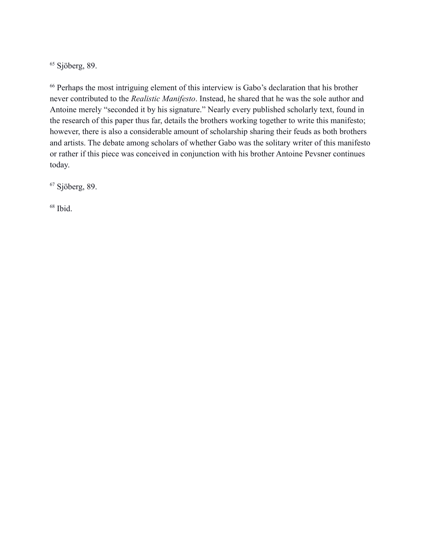$65$  Sjöberg, 89.

<sup>66</sup> Perhaps the most intriguing element of this interview is Gabo's declaration that his brother never contributed to the *Realistic Manifesto*. Instead, he shared that he was the sole author and Antoine merely "seconded it by his signature." Nearly every published scholarly text, found in the research of this paper thus far, details the brothers working together to write this manifesto; however, there is also a considerable amount of scholarship sharing their feuds as both brothers and artists. The debate among scholars of whether Gabo was the solitary writer of this manifesto or rather if this piece was conceived in conjunction with his brother Antoine Pevsner continues today.

<sup>67</sup> Sjöberg, 89.

68 Ibid.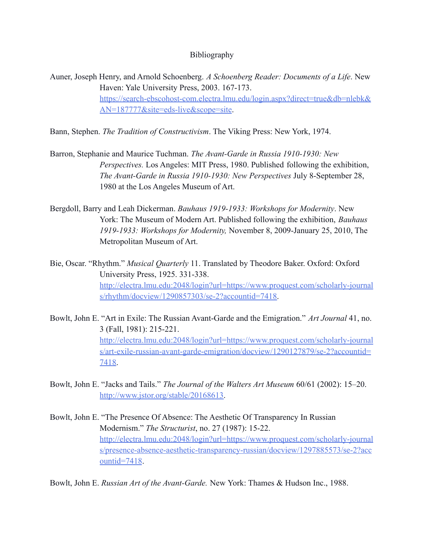## Bibliography

Auner, Joseph Henry, and Arnold Schoenberg. *A Schoenberg Reader: Documents of a Life*. New Haven: Yale University Press, 2003. 167-173. [https://search-ebscohost-com.electra.lmu.edu/login.aspx?direct=true&db=nlebk&](https://search-ebscohost-com.electra.lmu.edu/login.aspx?direct=true&db=nlebk&AN=187777&site=eds-live&scope=site) [AN=187777&site=eds-live&scope=site.](https://search-ebscohost-com.electra.lmu.edu/login.aspx?direct=true&db=nlebk&AN=187777&site=eds-live&scope=site)

Bann, Stephen. *The Tradition of Constructivism*. The Viking Press: New York, 1974.

- Barron, Stephanie and Maurice Tuchman. *The Avant-Garde in Russia 1910-1930: New Perspectives.* Los Angeles: MIT Press, 1980. Published following the exhibition, *The Avant-Garde in Russia 1910-1930: New Perspectives* July 8-September 28, 1980 at the Los Angeles Museum of Art.
- Bergdoll, Barry and Leah Dickerman. *Bauhaus 1919-1933: Workshops for Modernity*. New York: The Museum of Modern Art. Published following the exhibition, *Bauhaus 1919-1933: Workshops for Modernity,* November 8, 2009-January 25, 2010, The Metropolitan Museum of Art.
- Bie, Oscar. "Rhythm." *Musical Quarterly* 11. Translated by Theodore Baker. Oxford: Oxford University Press, 1925. 331-338. [http://electra.lmu.edu:2048/login?url=https://www.proquest.com/scholarly-journal](http://electra.lmu.edu:2048/login?url=https://www.proquest.com/scholarly-journals/rhythm/docview/1290857303/se-2?accountid=7418) [s/rhythm/docview/1290857303/se-2?accountid=7418](http://electra.lmu.edu:2048/login?url=https://www.proquest.com/scholarly-journals/rhythm/docview/1290857303/se-2?accountid=7418).
- Bowlt, John E. "Art in Exile: The Russian Avant-Garde and the Emigration." *Art Journal* 41, no. 3 (Fall, 1981): 215-221. [http://electra.lmu.edu:2048/login?url=https://www.proquest.com/scholarly-journal](http://electra.lmu.edu:2048/login?url=https://www.proquest.com/scholarly-journals/art-exile-russian-avant-garde-emigration/docview/1290127879/se-2?accountid=7418) [s/art-exile-russian-avant-garde-emigration/docview/1290127879/se-2?accountid=](http://electra.lmu.edu:2048/login?url=https://www.proquest.com/scholarly-journals/art-exile-russian-avant-garde-emigration/docview/1290127879/se-2?accountid=7418) [7418](http://electra.lmu.edu:2048/login?url=https://www.proquest.com/scholarly-journals/art-exile-russian-avant-garde-emigration/docview/1290127879/se-2?accountid=7418).
- Bowlt, John E. "Jacks and Tails." *The Journal of the Walters Art Museum* 60/61 (2002): 15–20. [http://www.jstor.org/stable/20168613.](http://www.jstor.org/stable/20168613)
- Bowlt, John E. "The Presence Of Absence: The Aesthetic Of Transparency In Russian Modernism." *The Structurist*, no. 27 (1987): 15-22. [http://electra.lmu.edu:2048/login?url=https://www.proquest.com/scholarly-journal](http://electra.lmu.edu:2048/login?url=https://www.proquest.com/scholarly-journals/presence-absence-aesthetic-transparency-russian/docview/1297885573/se-2?accountid=7418) [s/presence-absence-aesthetic-transparency-russian/docview/1297885573/se-2?acc](http://electra.lmu.edu:2048/login?url=https://www.proquest.com/scholarly-journals/presence-absence-aesthetic-transparency-russian/docview/1297885573/se-2?accountid=7418) [ountid=7418](http://electra.lmu.edu:2048/login?url=https://www.proquest.com/scholarly-journals/presence-absence-aesthetic-transparency-russian/docview/1297885573/se-2?accountid=7418).

Bowlt, John E. *Russian Art of the Avant-Garde.* New York: Thames & Hudson Inc., 1988.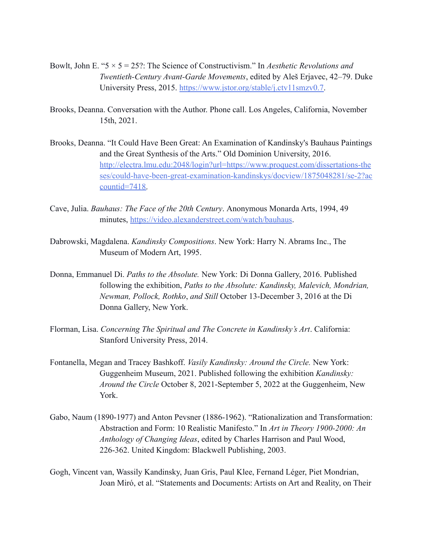- Bowlt, John E. "5 × 5 = 25?: The Science of Constructivism." In *Aesthetic Revolutions and Twentieth-Century Avant-Garde Movements*, edited by Aleš Erjavec, 42–79. Duke University Press, 2015. [https://www.jstor.org/stable/j.ctv11smzv0.7.](https://www.jstor.org/stable/j.ctv11smzv0.7)
- Brooks, Deanna. Conversation with the Author. Phone call. Los Angeles, California, November 15th, 2021.
- Brooks, Deanna. "It Could Have Been Great: An Examination of Kandinsky's Bauhaus Paintings and the Great Synthesis of the Arts." Old Dominion University, 2016. [http://electra.lmu.edu:2048/login?url=https://www.proquest.com/dissertations-the](http://electra.lmu.edu:2048/login?url=https://www.proquest.com/dissertations-theses/could-have-been-great-examination-kandinskys/docview/1875048281/se-2?accountid=7418) [ses/could-have-been-great-examination-kandinskys/docview/1875048281/se-2?ac](http://electra.lmu.edu:2048/login?url=https://www.proquest.com/dissertations-theses/could-have-been-great-examination-kandinskys/docview/1875048281/se-2?accountid=7418) [countid=7418.](http://electra.lmu.edu:2048/login?url=https://www.proquest.com/dissertations-theses/could-have-been-great-examination-kandinskys/docview/1875048281/se-2?accountid=7418)
- Cave, Julia. *Bauhaus: The Face of the 20th Century*. Anonymous Monarda Arts, 1994, 49 minutes, [https://video.alexanderstreet.com/watch/bauhaus.](https://video.alexanderstreet.com/watch/bauhaus)
- Dabrowski, Magdalena. *Kandinsky Compositions*. New York: Harry N. Abrams Inc., The Museum of Modern Art, 1995.
- Donna, Emmanuel Di. *Paths to the Absolute.* New York: Di Donna Gallery, 2016. Published following the exhibition, *Paths to the Absolute: Kandinsky, Malevich, Mondrian, Newman, Pollock, Rothko*, *and Still* October 13-December 3, 2016 at the Di Donna Gallery, New York.
- Florman, Lisa. *Concerning The Spiritual and The Concrete in Kandinsky's Art*. California: Stanford University Press, 2014.
- Fontanella, Megan and Tracey Bashkoff. *Vasily Kandinsky: Around the Circle.* New York: Guggenheim Museum, 2021. Published following the exhibition *Kandinsky: Around the Circle* October 8, 2021-September 5, 2022 at the Guggenheim, New York.
- Gabo, Naum (1890-1977) and Anton Pevsner (1886-1962). "Rationalization and Transformation: Abstraction and Form: 10 Realistic Manifesto." In *Art in Theory 1900-2000: An Anthology of Changing Ideas*, edited by Charles Harrison and Paul Wood, 226-362. United Kingdom: Blackwell Publishing, 2003.
- Gogh, Vincent van, Wassily Kandinsky, Juan Gris, Paul Klee, Fernand Léger, Piet Mondrian, Joan Miró, et al. "Statements and Documents: Artists on Art and Reality, on Their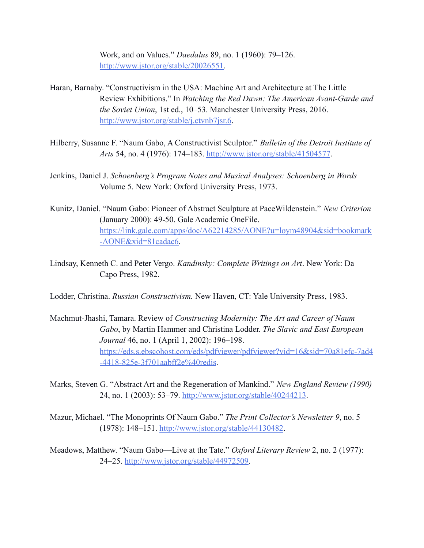Work, and on Values." *Daedalus* 89, no. 1 (1960): 79–126. [http://www.jstor.org/stable/20026551.](http://www.jstor.org/stable/20026551)

- Haran, Barnaby. "Constructivism in the USA: Machine Art and Architecture at The Little Review Exhibitions." In *Watching the Red Dawn: The American Avant-Garde and the Soviet Union*, 1st ed., 10–53. Manchester University Press, 2016. <http://www.jstor.org/stable/j.ctvnb7jsr.6>.
- Hilberry, Susanne F. "Naum Gabo, A Constructivist Sculptor." *Bulletin of the Detroit Institute of Arts* 54, no. 4 (1976): 174–183. <http://www.jstor.org/stable/41504577>.
- Jenkins, Daniel J. *Schoenberg's Program Notes and Musical Analyses: Schoenberg in Words* Volume 5. New York: Oxford University Press, 1973.
- Kunitz, Daniel. "Naum Gabo: Pioneer of Abstract Sculpture at PaceWildenstein." *New Criterion* (January 2000): 49-50. Gale Academic OneFile. [https://link.gale.com/apps/doc/A62214285/AONE?u=loym48904&sid=bookmark](https://link.gale.com/apps/doc/A62214285/AONE?u=loym48904&sid=bookmark-AONE&xid=81cadac6) [-AONE&xid=81cadac6](https://link.gale.com/apps/doc/A62214285/AONE?u=loym48904&sid=bookmark-AONE&xid=81cadac6).
- Lindsay, Kenneth C. and Peter Vergo. *Kandinsky: Complete Writings on Art*. New York: Da Capo Press, 1982.

Lodder, Christina. *Russian Constructivism.* New Haven, CT: Yale University Press, 1983.

- Machmut-Jhashi, Tamara. Review of *Constructing Modernity: The Art and Career of Naum Gabo*, by Martin Hammer and Christina Lodder. *The Slavic and East European Journal* 46, no. 1 (April 1, 2002): 196–198. [https://eds.s.ebscohost.com/eds/pdfviewer/pdfviewer?vid=16&sid=70a81efc-7ad4](https://eds.s.ebscohost.com/eds/pdfviewer/pdfviewer?vid=16&sid=70a81efc-7ad4-4418-825e-3f701aabff2e%40redis) [-4418-825e-3f701aabff2e%40redis](https://eds.s.ebscohost.com/eds/pdfviewer/pdfviewer?vid=16&sid=70a81efc-7ad4-4418-825e-3f701aabff2e%40redis).
- Marks, Steven G. "Abstract Art and the Regeneration of Mankind." *New England Review (1990)* 24, no. 1 (2003): 53–79. <http://www.jstor.org/stable/40244213>.
- Mazur, Michael. "The Monoprints Of Naum Gabo." *The Print Collector's Newsletter 9*, no. 5 (1978): 148–151. <http://www.jstor.org/stable/44130482>.
- Meadows, Matthew. "Naum Gabo—Live at the Tate." *Oxford Literary Review* 2, no. 2 (1977): 24–25. [http://www.jstor.org/stable/44972509.](http://www.jstor.org/stable/44972509)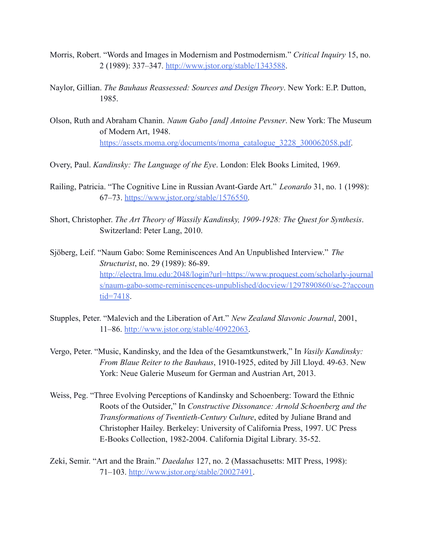- Morris, Robert. "Words and Images in Modernism and Postmodernism." *Critical Inquiry* 15, no. 2 (1989): 337–347. <http://www.jstor.org/stable/1343588>.
- Naylor, Gillian. *The Bauhaus Reassessed: Sources and Design Theory*. New York: E.P. Dutton, 1985.
- Olson, Ruth and Abraham Chanin. *Naum Gabo [and] Antoine Pevsner*. New York: The Museum of Modern Art, 1948. [https://assets.moma.org/documents/moma\\_catalogue\\_3228\\_300062058.pdf.](https://assets.moma.org/documents/moma_catalogue_3228_300062058.pdf)
- Overy, Paul. *Kandinsky: The Language of the Eye*. London: Elek Books Limited, 1969.
- Railing, Patricia. "The Cognitive Line in Russian Avant-Garde Art." *Leonardo* 31, no. 1 (1998): 67–73. [https://www.jstor.org/stable/1576550.](https://www.jstor.org/stable/1576550)
- Short, Christopher. *The Art Theory of Wassily Kandinsky, 1909-1928: The Quest for Synthesis*. Switzerland: Peter Lang, 2010.
- Sjöberg, Leif. "Naum Gabo: Some Reminiscences And An Unpublished Interview." *The Structurist*, no. 29 (1989): 86-89. [http://electra.lmu.edu:2048/login?url=https://www.proquest.com/scholarly-journal](http://electra.lmu.edu:2048/login?url=https://www.proquest.com/scholarly-journals/naum-gabo-some-reminiscences-unpublished/docview/1297890860/se-2?accountid=7418) [s/naum-gabo-some-reminiscences-unpublished/docview/1297890860/se-2?accoun](http://electra.lmu.edu:2048/login?url=https://www.proquest.com/scholarly-journals/naum-gabo-some-reminiscences-unpublished/docview/1297890860/se-2?accountid=7418) [tid=7418](http://electra.lmu.edu:2048/login?url=https://www.proquest.com/scholarly-journals/naum-gabo-some-reminiscences-unpublished/docview/1297890860/se-2?accountid=7418).
- Stupples, Peter. "Malevich and the Liberation of Art." *New Zealand Slavonic Journal*, 2001, 11–86. [http://www.jstor.org/stable/40922063.](http://www.jstor.org/stable/40922063)
- Vergo, Peter. "Music, Kandinsky, and the Idea of the Gesamtkunstwerk," In *Vasily Kandinsky: From Blaue Reiter to the Bauhaus*, 1910-1925, edited by Jill Lloyd. 49-63. New York: Neue Galerie Museum for German and Austrian Art, 2013.
- Weiss, Peg. "Three Evolving Perceptions of Kandinsky and Schoenberg: Toward the Ethnic Roots of the Outsider," In *Constructive Dissonance: Arnold Schoenberg and the Transformations of Twentieth-Century Culture*, edited by Juliane Brand and Christopher Hailey. Berkeley: University of California Press, 1997. UC Press E-Books Collection, 1982-2004. California Digital Library. 35-52.
- Zeki, Semir. "Art and the Brain." *Daedalus* 127, no. 2 (Massachusetts: MIT Press, 1998): 71–103. [http://www.jstor.org/stable/20027491.](http://www.jstor.org/stable/20027491)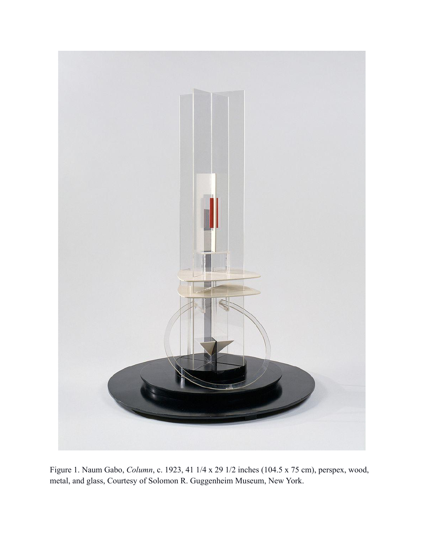

Figure 1. Naum Gabo, *Column*, c. 1923, 41 1/4 x 29 1/2 inches (104.5 x 75 cm), perspex, wood, metal, and glass, Courtesy of Solomon R. Guggenheim Museum, New York.